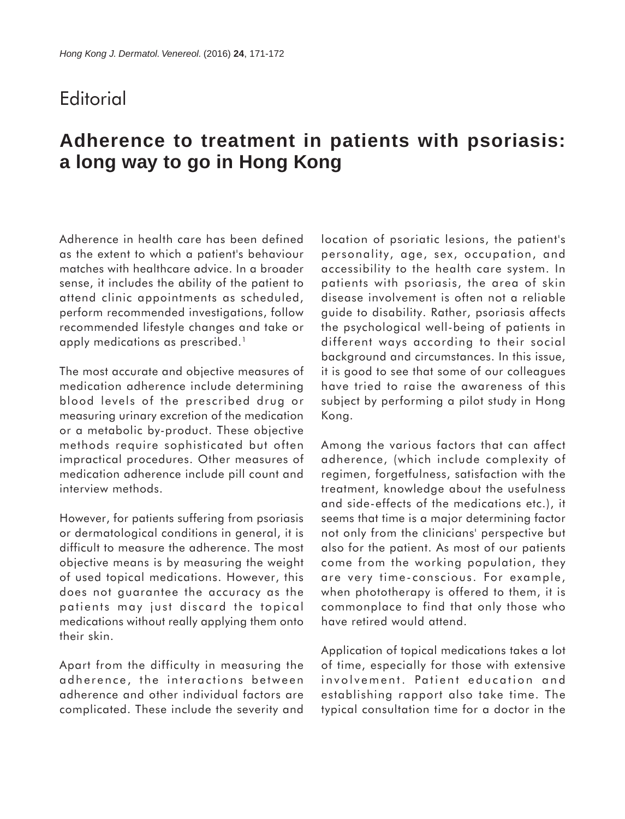## **Editorial**

# **Adherence to treatment in patients with psoriasis: a long way to go in Hong Kong**

Adherence in health care has been defined as the extent to which a patient's behaviour matches with healthcare advice. In a broader sense, it includes the ability of the patient to attend clinic appointments as scheduled, perform recommended investigations, follow recommended lifestyle changes and take or apply medications as prescribed.<sup>1</sup>

The most accurate and objective measures of medication adherence include determining blood levels of the prescribed drug or measuring urinary excretion of the medication or a metabolic by-product. These objective methods require sophisticated but often impractical procedures. Other measures of medication adherence include pill count and interview methods.

However, for patients suffering from psoriasis or dermatological conditions in general, it is difficult to measure the adherence. The most objective means is by measuring the weight of used topical medications. However, this does not guarantee the accuracy as the patients may just discard the topical medications without really applying them onto their skin.

Apart from the difficulty in measuring the adherence, the interactions between adherence and other individual factors are complicated. These include the severity and location of psoriatic lesions, the patient's personality, age, sex, occupation, and accessibility to the health care system. In patients with psoriasis, the area of skin disease involvement is often not a reliable guide to disability. Rather, psoriasis affects the psychological well-being of patients in different ways according to their social background and circumstances. In this issue, it is good to see that some of our colleagues have tried to raise the awareness of this subject by performing a pilot study in Hong Kong.

Among the various factors that can affect adherence, (which include complexity of regimen, forgetfulness, satisfaction with the treatment, knowledge about the usefulness and side-effects of the medications etc.), it seems that time is a major determining factor not only from the clinicians' perspective but also for the patient. As most of our patients come from the working population, they are very time-conscious. For example, when phototherapy is offered to them, it is commonplace to find that only those who have retired would attend.

Application of topical medications takes a lot of time, especially for those with extensive involvement. Patient education and establishing rapport also take time. The typical consultation time for a doctor in the